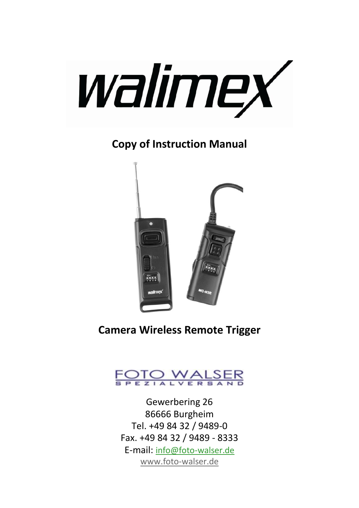

**Copy of Instruction Manual**



**Camera Wireless Remote Trigger**



Gewerbering 26 86666 Burgheim Tel. +49 84 32 / 9489-0 Fax. +49 84 32 / 9489 - 8333 E-mail: [info@foto-walser.de](mailto:info@foto-walser.de) [www.foto-walser.de](http://www.foto-walser.de/)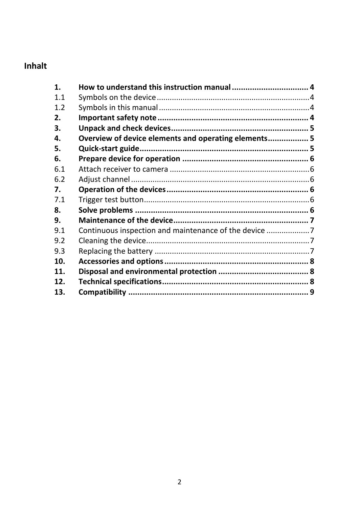# Inhalt

| $\mathbf 1$ . |                                                      |  |
|---------------|------------------------------------------------------|--|
| 1.1           |                                                      |  |
| 1.2           |                                                      |  |
| 2.            |                                                      |  |
| З.            |                                                      |  |
| 4.            | Overview of device elements and operating elements 5 |  |
| 5.            |                                                      |  |
| 6.            |                                                      |  |
| 6.1           |                                                      |  |
| 6.2           |                                                      |  |
| 7.            |                                                      |  |
| 7.1           |                                                      |  |
| 8.            |                                                      |  |
| 9.            |                                                      |  |
| 9.1           | Continuous inspection and maintenance of the device  |  |
| 9.2           |                                                      |  |
| 9.3           |                                                      |  |
| 10.           |                                                      |  |
| 11.           |                                                      |  |
| 12.           |                                                      |  |
| 13.           |                                                      |  |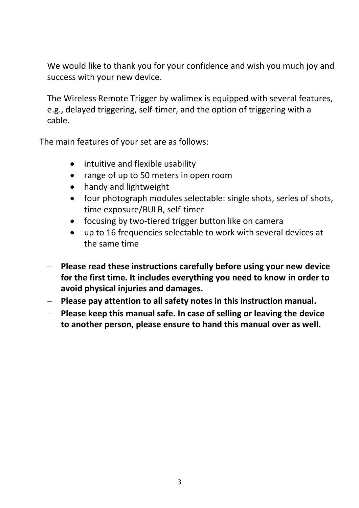We would like to thank you for your confidence and wish you much joy and success with your new device.

The Wireless Remote Trigger by walimex is equipped with several features, e.g., delayed triggering, self-timer, and the option of triggering with a cable.

The main features of your set are as follows:

- intuitive and flexible usability
- range of up to 50 meters in open room  $\bullet$
- handy and lightweight
- four photograph modules selectable: single shots, series of shots, time exposure/BULB, self-timer
- focusing by two-tiered trigger button like on camera
- up to 16 frequencies selectable to work with several devices at the same time
- **Please read these instructions carefully before using your new device for the first time. It includes everything you need to know in order to avoid physical injuries and damages.**
- **Please pay attention to all safety notes in this instruction manual.**
- **Please keep this manual safe. In case of selling or leaving the device to another person, please ensure to hand this manual over as well.**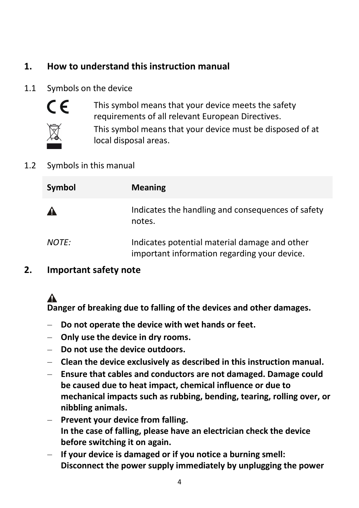# **1. How to understand this instruction manual**

#### 1.1 Symbols on the device



This symbol means that your device meets the safety requirements of all relevant European Directives.



This symbol means that your device must be disposed of at local disposal areas.

#### 1.2 Symbols in this manual

| Symbol       | <b>Meaning</b>                                                                                |
|--------------|-----------------------------------------------------------------------------------------------|
| $\mathbf{A}$ | Indicates the handling and consequences of safety<br>notes.                                   |
| <i>NOTE:</i> | Indicates potential material damage and other<br>important information regarding your device. |

#### **2. Important safety note**

# Δ

**Danger of breaking due to falling of the devices and other damages.**

- $\equiv$ **Do not operate the device with wet hands or feet.**
- **Only use the device in dry rooms.**
- **Do not use the device outdoors.**
- **Clean the device exclusively as described in this instruction manual.**
- **Ensure that cables and conductors are not damaged. Damage could be caused due to heat impact, chemical influence or due to mechanical impacts such as rubbing, bending, tearing, rolling over, or nibbling animals.**
- **Prevent your device from falling. In the case of falling, please have an electrician check the device before switching it on again.**
- **If your device is damaged or if you notice a burning smell: Disconnect the power supply immediately by unplugging the power**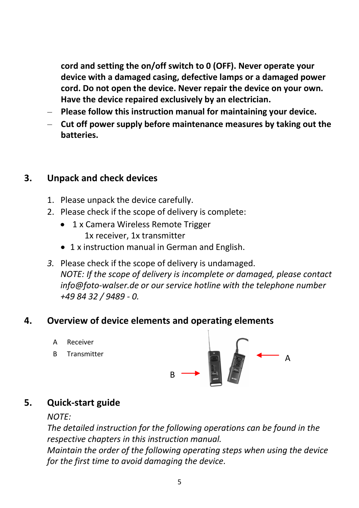**cord and setting the on/off switch to 0 (OFF). Never operate your device with a damaged casing, defective lamps or a damaged power cord. Do not open the device. Never repair the device on your own. Have the device repaired exclusively by an electrician.**

- **Please follow this instruction manual for maintaining your device.**
- **Cut off power supply before maintenance measures by taking out the batteries.**

#### **3. Unpack and check devices**

- 1. Please unpack the device carefully.
- 2. Please check if the scope of delivery is complete:
	- 1 x Camera Wireless Remote Trigger 1x receiver, 1x transmitter
	- 1 x instruction manual in German and English.
- *3.* Please check if the scope of delivery is undamaged. *NOTE: If the scope of delivery is incomplete or damaged, please contact info@foto-walser.de or our service hotline with the telephone number +49 84 32 / 9489 - 0.*

#### **4. Overview of device elements and operating elements**

- A Receiver
- B Transmitter



## **5. Quick-start guide**

#### *NOTE:*

*The detailed instruction for the following operations can be found in the respective chapters in this instruction manual.*

*Maintain the order of the following operating steps when using the device for the first time to avoid damaging the device.*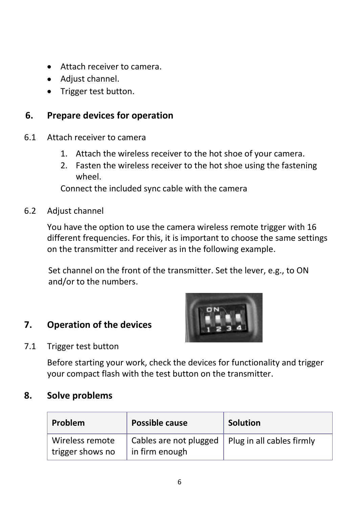- Attach receiver to camera.
- Adjust channel.
- Trigger test button.

## **6. Prepare devices for operation**

- 6.1 Attach receiver to camera
	- 1. Attach the wireless receiver to the hot shoe of your camera.
	- 2. Fasten the wireless receiver to the hot shoe using the fastening wheel.

Connect the included sync cable with the camera

6.2 Adjust channel

You have the option to use the camera wireless remote trigger with 16 different frequencies. For this, it is important to choose the same settings on the transmitter and receiver as in the following example.

Set channel on the front of the transmitter. Set the lever, e.g., to ON and/or to the numbers.

## **7. Operation of the devices**



7.1 Trigger test button

Before starting your work, check the devices for functionality and trigger your compact flash with the test button on the transmitter.

#### **8. Solve problems**

| <b>Problem</b>                      | Possible cause                           | <b>Solution</b>           |
|-------------------------------------|------------------------------------------|---------------------------|
| Wireless remote<br>trigger shows no | Cables are not plugged<br>in firm enough | Plug in all cables firmly |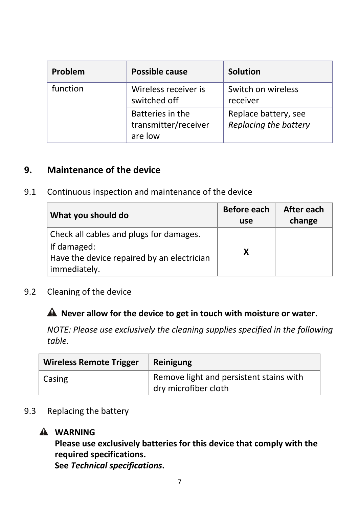| Problem  | Possible cause                                      | <b>Solution</b>                               |
|----------|-----------------------------------------------------|-----------------------------------------------|
| function | Wireless receiver is<br>switched off                | Switch on wireless<br>receiver                |
|          | Batteries in the<br>transmitter/receiver<br>are low | Replace battery, see<br>Replacing the battery |

#### **9. Maintenance of the device**

9.1 Continuous inspection and maintenance of the device

| What you should do                         | Before each<br>use | After each<br>change |
|--------------------------------------------|--------------------|----------------------|
| Check all cables and plugs for damages.    |                    |                      |
| If damaged:                                | x                  |                      |
| Have the device repaired by an electrician |                    |                      |
| immediately.                               |                    |                      |

9.2 Cleaning of the device

# **Never allow for the device to get in touch with moisture or water.**

*NOTE: Please use exclusively the cleaning supplies specified in the following table.*

| <b>Wireless Remote Trigger</b> | <b>Reinigung</b>                                                |
|--------------------------------|-----------------------------------------------------------------|
| Casing                         | Remove light and persistent stains with<br>dry microfiber cloth |

#### 9.3 Replacing the battery

# **WARNING**

**Please use exclusively batteries for this device that comply with the required specifications. See** *Technical specifications***.**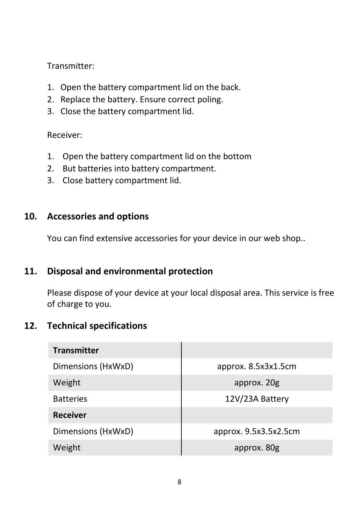Transmitter:

- 1. Open the battery compartment lid on the back.
- 2. Replace the battery. Ensure correct poling.
- 3. Close the battery compartment lid.

#### Receiver:

- 1. Open the battery compartment lid on the bottom
- 2. But batteries into battery compartment.
- 3. Close battery compartment lid.

#### **10. Accessories and options**

You can find extensive accessories for your device in our web shop..

#### **11. Disposal and environmental protection**

Please dispose of your device at your local disposal area. This service is free of charge to you.

## **12. Technical specifications**

| <b>Transmitter</b> |                       |
|--------------------|-----------------------|
| Dimensions (HxWxD) | approx. 8.5x3x1.5cm   |
| Weight             | approx. 20g           |
| <b>Batteries</b>   | 12V/23A Battery       |
| <b>Receiver</b>    |                       |
| Dimensions (HxWxD) | approx. 9.5x3.5x2.5cm |
| Weight             | approx. 80g           |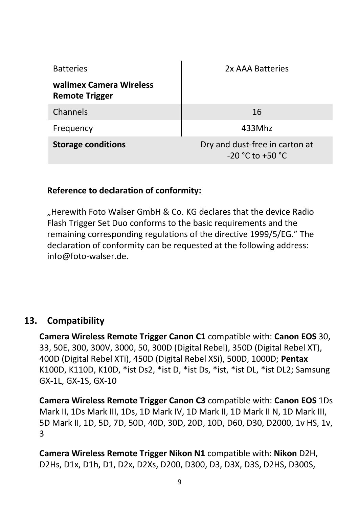| <b>Batteries</b>                                 | 2x AAA Batteries                                       |
|--------------------------------------------------|--------------------------------------------------------|
| walimex Camera Wireless<br><b>Remote Trigger</b> |                                                        |
| Channels                                         | 16                                                     |
| Frequency                                        | 433Mhz                                                 |
| <b>Storage conditions</b>                        | Dry and dust-free in carton at<br>$-20 °C$ to $+50 °C$ |

#### **Reference to declaration of conformity:**

"Herewith Foto Walser GmbH & Co. KG declares that the device Radio Flash Trigger Set Duo conforms to the basic requirements and the remaining corresponding regulations of the directive 1999/5/EG." The declaration of conformity can be requested at the following address: info@foto-walser.de.

## **13. Compatibility**

**Camera Wireless Remote Trigger Canon C1** compatible with: **Canon EOS** 30, 33, 50E, 300, 300V, 3000, 50, 300D (Digital Rebel), 350D (Digital Rebel XT), 400D (Digital Rebel XTi), 450D (Digital Rebel XSi), 500D, 1000D; **Pentax**  K100D, K110D, K10D, \*ist Ds2, \*ist D, \*ist Ds, \*ist, \*ist DL, \*ist DL2; Samsung GX-1L, GX-1S, GX-10

**Camera Wireless Remote Trigger Canon C3** compatible with: **Canon EOS** 1Ds Mark II, 1Ds Mark III, 1Ds, 1D Mark IV, 1D Mark II, 1D Mark II N, 1D Mark III, 5D Mark II, 1D, 5D, 7D, 50D, 40D, 30D, 20D, 10D, D60, D30, D2000, 1v HS, 1v, 3

**Camera Wireless Remote Trigger Nikon N1** compatible with: **Nikon** D2H, D2Hs, D1x, D1h, D1, D2x, D2Xs, D200, D300, D3, D3X, D3S, D2HS, D300S,